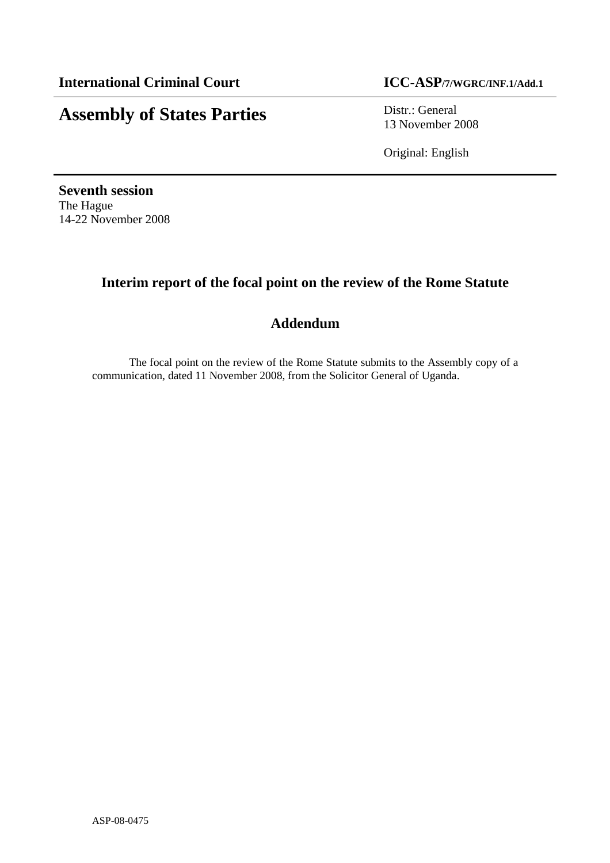# **Assembly of States Parties** Distr.: General

13 November 2008

Original: English

**Seventh session** The Hague 14-22 November 2008

## **Interim report of the focal point on the review of the Rome Statute**

### **Addendum**

The focal point on the review of the Rome Statute submits to the Assembly copy of a communication, dated 11 November 2008, from the Solicitor General of Uganda.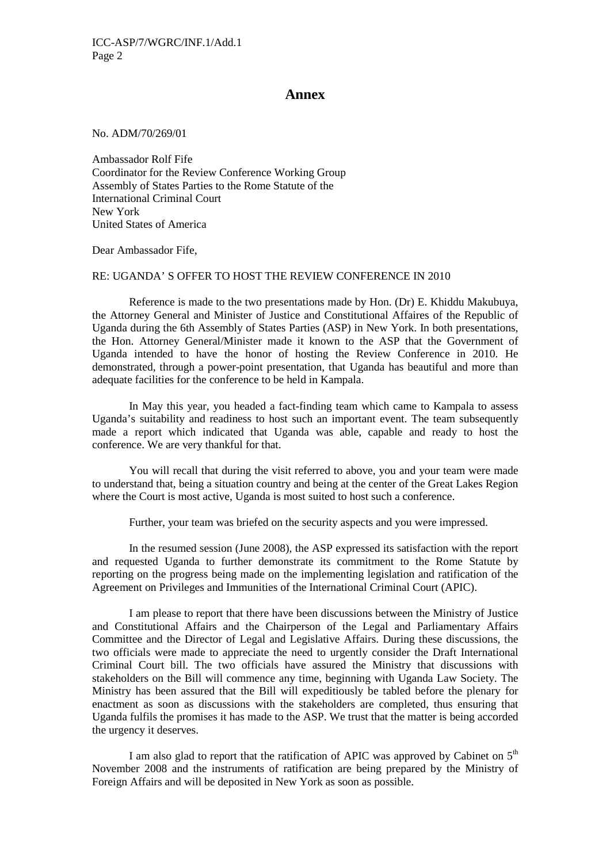#### **Annex**

No. ADM/70/269/01

Ambassador Rolf Fife Coordinator for the Review Conference Working Group Assembly of States Parties to the Rome Statute of the International Criminal Court New York United States of America

Dear Ambassador Fife,

### RE: UGANDA' S OFFER TO HOST THE REVIEW CONFERENCE IN 2010

Reference is made to the two presentations made by Hon. (Dr) E. Khiddu Makubuya, the Attorney General and Minister of Justice and Constitutional Affaires of the Republic of Uganda during the 6th Assembly of States Parties (ASP) in New York. In both presentations, the Hon. Attorney General/Minister made it known to the ASP that the Government of Uganda intended to have the honor of hosting the Review Conference in 2010. He demonstrated, through a power-point presentation, that Uganda has beautiful and more than adequate facilities for the conference to be held in Kampala.

In May this year, you headed a fact-finding team which came to Kampala to assess Uganda's suitability and readiness to host such an important event. The team subsequently made a report which indicated that Uganda was able, capable and ready to host the conference. We are very thankful for that.

You will recall that during the visit referred to above, you and your team were made to understand that, being a situation country and being at the center of the Great Lakes Region where the Court is most active, Uganda is most suited to host such a conference.

Further, your team was briefed on the security aspects and you were impressed.

In the resumed session (June 2008), the ASP expressed its satisfaction with the report and requested Uganda to further demonstrate its commitment to the Rome Statute by reporting on the progress being made on the implementing legislation and ratification of the Agreement on Privileges and Immunities of the International Criminal Court (APIC).

I am please to report that there have been discussions between the Ministry of Justice and Constitutional Affairs and the Chairperson of the Legal and Parliamentary Affairs Committee and the Director of Legal and Legislative Affairs. During these discussions, the two officials were made to appreciate the need to urgently consider the Draft International Criminal Court bill. The two officials have assured the Ministry that discussions with stakeholders on the Bill will commence any time, beginning with Uganda Law Society. The Ministry has been assured that the Bill will expeditiously be tabled before the plenary for enactment as soon as discussions with the stakeholders are completed, thus ensuring that Uganda fulfils the promises it has made to the ASP. We trust that the matter is being accorded the urgency it deserves.

I am also glad to report that the ratification of APIC was approved by Cabinet on  $5<sup>th</sup>$ November 2008 and the instruments of ratification are being prepared by the Ministry of Foreign Affairs and will be deposited in New York as soon as possible.